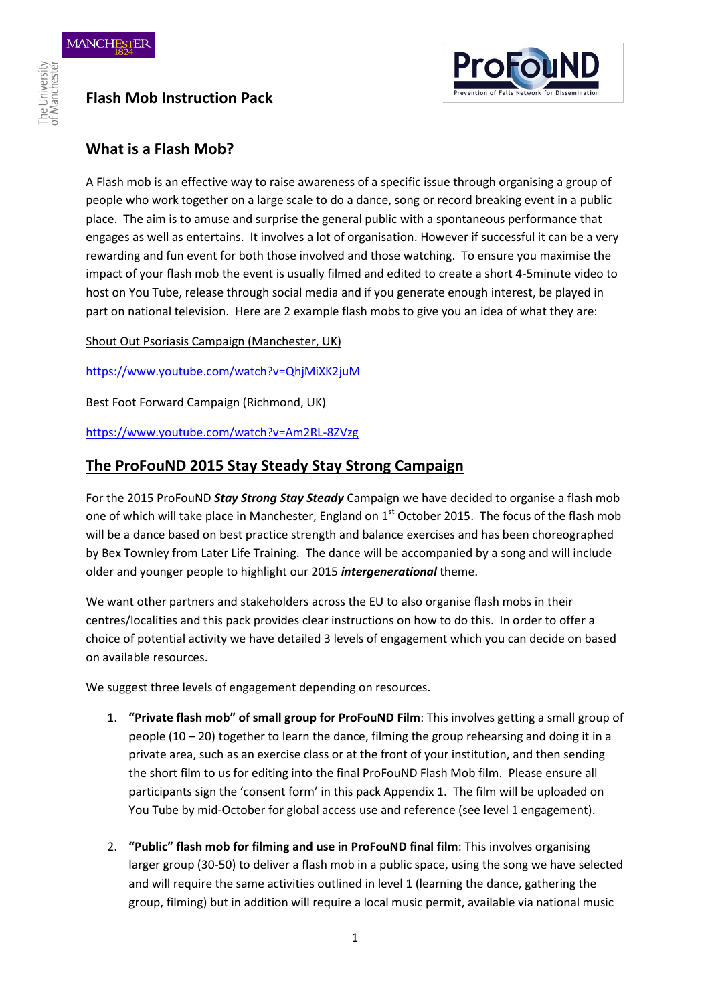

## **Flash Mob Instruction Pack**

#### **What is a Flash Mob?**

A Flash mob is an effective way to raise awareness of a specific issue through organising a group of people who work together on a large scale to do a dance, song or record breaking event in a public place. The aim is to amuse and surprise the general public with a spontaneous performance that engages as well as entertains. It involves a lot of organisation. However if successful it can be a very rewarding and fun event for both those involved and those watching. To ensure you maximise the impact of your flash mob the event is usually filmed and edited to create a short 4-5minute video to host on You Tube, release through social media and if you generate enough interest, be played in part on national television. Here are 2 example flash mobs to give you an idea of what they are:

Shout Out Psoriasis Campaign (Manchester, UK)

<https://www.youtube.com/watch?v=QhjMiXK2juM>

Best Foot Forward Campaign (Richmond, UK)

<https://www.youtube.com/watch?v=Am2RL-8ZVzg>

#### **The ProFouND 2015 Stay Steady Stay Strong Campaign**

For the 2015 ProFouND *Stay Strong Stay Steady* Campaign we have decided to organise a flash mob one of which will take place in Manchester, England on  $1<sup>st</sup>$  October 2015. The focus of the flash mob will be a dance based on best practice strength and balance exercises and has been choreographed by Bex Townley from Later Life Training. The dance will be accompanied by a song and will include older and younger people to highlight our 2015 *intergenerational* theme.

We want other partners and stakeholders across the EU to also organise flash mobs in their centres/localities and this pack provides clear instructions on how to do this. In order to offer a choice of potential activity we have detailed 3 levels of engagement which you can decide on based on available resources.

We suggest three levels of engagement depending on resources.

- 1. **"Private flash mob" of small group for ProFouND Film**: This involves getting a small group of people (10 – 20) together to learn the dance, filming the group rehearsing and doing it in a private area, such as an exercise class or at the front of your institution, and then sending the short film to us for editing into the final ProFouND Flash Mob film. Please ensure all participants sign the 'consent form' in this pack Appendix 1. The film will be uploaded on You Tube by mid-October for global access use and reference (see level 1 engagement).
- 2. **"Public" flash mob for filming and use in ProFouND final film**: This involves organising larger group (30-50) to deliver a flash mob in a public space, using the song we have selected and will require the same activities outlined in level 1 (learning the dance, gathering the group, filming) but in addition will require a local music permit, available via national music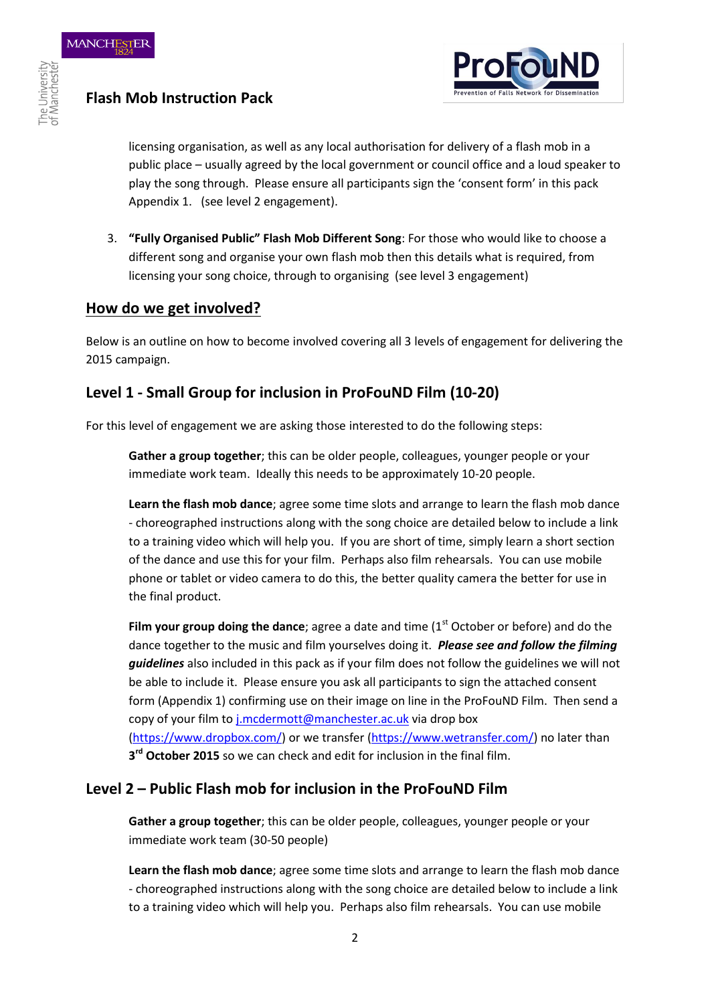

## **Flash Mob Instruction Pack**

licensing organisation, as well as any local authorisation for delivery of a flash mob in a public place – usually agreed by the local government or council office and a loud speaker to play the song through. Please ensure all participants sign the 'consent form' in this pack Appendix 1. (see level 2 engagement).

3. **"Fully Organised Public" Flash Mob Different Song**: For those who would like to choose a different song and organise your own flash mob then this details what is required, from licensing your song choice, through to organising (see level 3 engagement)

#### **How do we get involved?**

Below is an outline on how to become involved covering all 3 levels of engagement for delivering the 2015 campaign.

### **Level 1 - Small Group for inclusion in ProFouND Film (10-20)**

For this level of engagement we are asking those interested to do the following steps:

**Gather a group together**; this can be older people, colleagues, younger people or your immediate work team. Ideally this needs to be approximately 10-20 people.

**Learn the flash mob dance**; agree some time slots and arrange to learn the flash mob dance - choreographed instructions along with the song choice are detailed below to include a link to a training video which will help you. If you are short of time, simply learn a short section of the dance and use this for your film. Perhaps also film rehearsals. You can use mobile phone or tablet or video camera to do this, the better quality camera the better for use in the final product.

Film your group doing the dance; agree a date and time (1<sup>st</sup> October or before) and do the dance together to the music and film yourselves doing it. *Please see and follow the filming guidelines* also included in this pack as if your film does not follow the guidelines we will not be able to include it. Please ensure you ask all participants to sign the attached consent form (Appendix 1) confirming use on their image on line in the ProFouND Film. Then send a copy of your film to [j.mcdermott@manchester.ac.uk](mailto:j.mcdermott@manchester.ac.uk) via drop box [\(https://www.dropbox.com/\)](https://www.dropbox.com/) or we transfer [\(https://www.wetransfer.com/\)](https://www.wetransfer.com/) no later than **3 rd October 2015** so we can check and edit for inclusion in the final film.

#### **Level 2 – Public Flash mob for inclusion in the ProFouND Film**

**Gather a group together**; this can be older people, colleagues, younger people or your immediate work team (30-50 people)

**Learn the flash mob dance**; agree some time slots and arrange to learn the flash mob dance - choreographed instructions along with the song choice are detailed below to include a link to a training video which will help you. Perhaps also film rehearsals. You can use mobile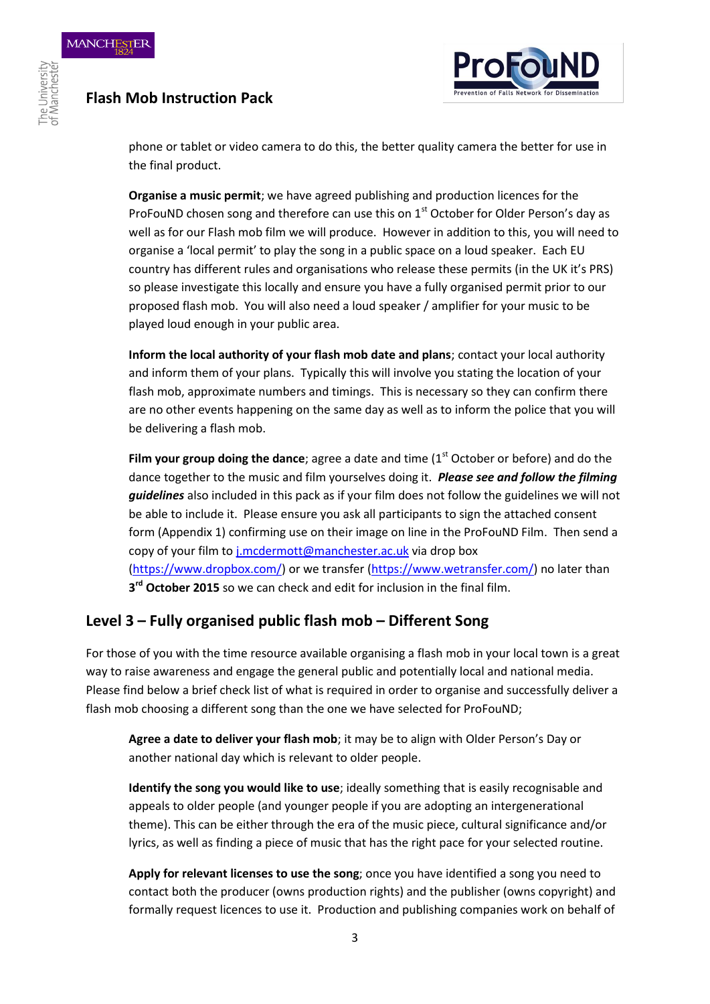# **Flash Mob Instruction Pack**



phone or tablet or video camera to do this, the better quality camera the better for use in the final product.

**Organise a music permit**; we have agreed publishing and production licences for the ProFouND chosen song and therefore can use this on  $1<sup>st</sup>$  October for Older Person's day as well as for our Flash mob film we will produce. However in addition to this, you will need to organise a 'local permit' to play the song in a public space on a loud speaker. Each EU country has different rules and organisations who release these permits (in the UK it's PRS) so please investigate this locally and ensure you have a fully organised permit prior to our proposed flash mob. You will also need a loud speaker / amplifier for your music to be played loud enough in your public area.

**Inform the local authority of your flash mob date and plans**; contact your local authority and inform them of your plans. Typically this will involve you stating the location of your flash mob, approximate numbers and timings. This is necessary so they can confirm there are no other events happening on the same day as well as to inform the police that you will be delivering a flash mob.

Film your group doing the dance; agree a date and time (1<sup>st</sup> October or before) and do the dance together to the music and film yourselves doing it. *Please see and follow the filming guidelines* also included in this pack as if your film does not follow the guidelines we will not be able to include it. Please ensure you ask all participants to sign the attached consent form (Appendix 1) confirming use on their image on line in the ProFouND Film. Then send a copy of your film to [j.mcdermott@manchester.ac.uk](mailto:j.mcdermott@manchester.ac.uk) via drop box [\(https://www.dropbox.com/\)](https://www.dropbox.com/) or we transfer [\(https://www.wetransfer.com/\)](https://www.wetransfer.com/) no later than **3 rd October 2015** so we can check and edit for inclusion in the final film.

#### **Level 3 – Fully organised public flash mob – Different Song**

For those of you with the time resource available organising a flash mob in your local town is a great way to raise awareness and engage the general public and potentially local and national media. Please find below a brief check list of what is required in order to organise and successfully deliver a flash mob choosing a different song than the one we have selected for ProFouND;

**Agree a date to deliver your flash mob**; it may be to align with Older Person's Day or another national day which is relevant to older people.

**Identify the song you would like to use**; ideally something that is easily recognisable and appeals to older people (and younger people if you are adopting an intergenerational theme). This can be either through the era of the music piece, cultural significance and/or lyrics, as well as finding a piece of music that has the right pace for your selected routine.

**Apply for relevant licenses to use the song**; once you have identified a song you need to contact both the producer (owns production rights) and the publisher (owns copyright) and formally request licences to use it. Production and publishing companies work on behalf of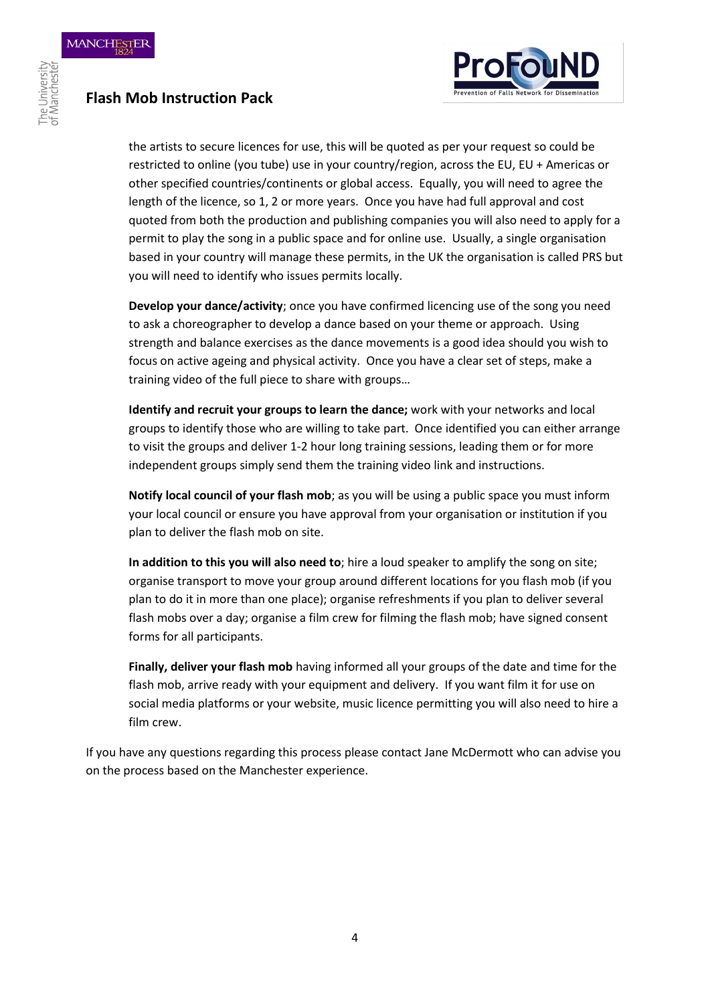

## **Flash Mob Instruction Pack**

the artists to secure licences for use, this will be quoted as per your request so could be restricted to online (you tube) use in your country/region, across the EU, EU + Americas or other specified countries/continents or global access. Equally, you will need to agree the length of the licence, so 1, 2 or more years. Once you have had full approval and cost quoted from both the production and publishing companies you will also need to apply for a permit to play the song in a public space and for online use. Usually, a single organisation based in your country will manage these permits, in the UK the organisation is called PRS but you will need to identify who issues permits locally.

**Develop your dance/activity**; once you have confirmed licencing use of the song you need to ask a choreographer to develop a dance based on your theme or approach. Using strength and balance exercises as the dance movements is a good idea should you wish to focus on active ageing and physical activity. Once you have a clear set of steps, make a training video of the full piece to share with groups…

**Identify and recruit your groups to learn the dance;** work with your networks and local groups to identify those who are willing to take part. Once identified you can either arrange to visit the groups and deliver 1-2 hour long training sessions, leading them or for more independent groups simply send them the training video link and instructions.

**Notify local council of your flash mob**; as you will be using a public space you must inform your local council or ensure you have approval from your organisation or institution if you plan to deliver the flash mob on site.

**In addition to this you will also need to**; hire a loud speaker to amplify the song on site; organise transport to move your group around different locations for you flash mob (if you plan to do it in more than one place); organise refreshments if you plan to deliver several flash mobs over a day; organise a film crew for filming the flash mob; have signed consent forms for all participants.

**Finally, deliver your flash mob** having informed all your groups of the date and time for the flash mob, arrive ready with your equipment and delivery. If you want film it for use on social media platforms or your website, music licence permitting you will also need to hire a film crew.

If you have any questions regarding this process please contact Jane McDermott who can advise you on the process based on the Manchester experience.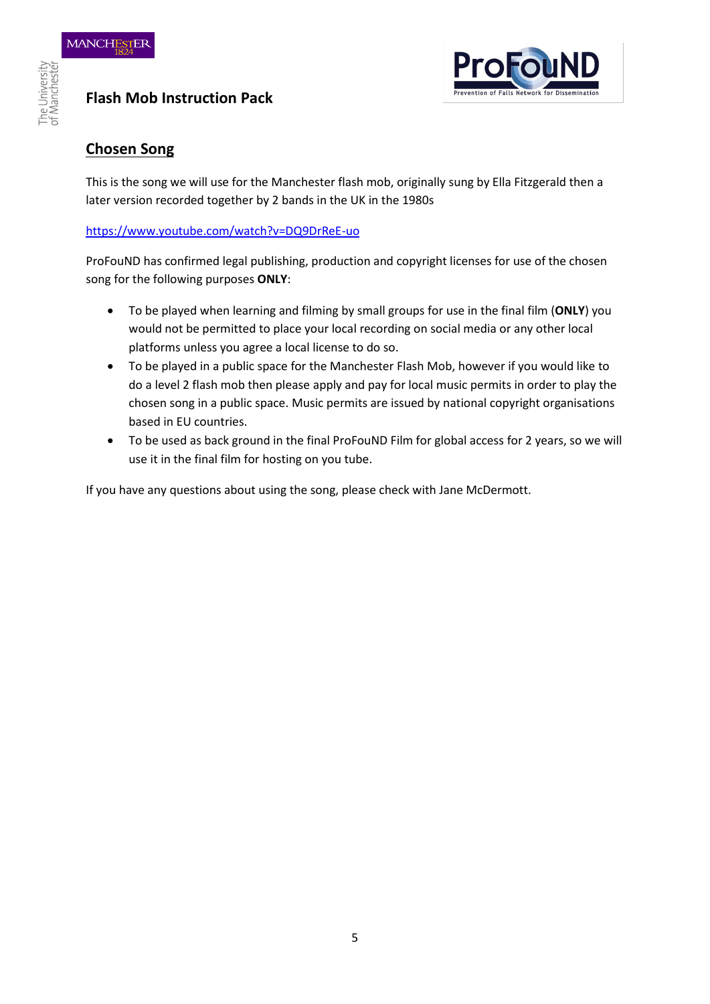## **Flash Mob Instruction Pack**



### **Chosen Song**

This is the song we will use for the Manchester flash mob, originally sung by Ella Fitzgerald then a later version recorded together by 2 bands in the UK in the 1980s

#### <https://www.youtube.com/watch?v=DQ9DrReE-uo>

ProFouND has confirmed legal publishing, production and copyright licenses for use of the chosen song for the following purposes **ONLY**:

- To be played when learning and filming by small groups for use in the final film (**ONLY**) you would not be permitted to place your local recording on social media or any other local platforms unless you agree a local license to do so.
- To be played in a public space for the Manchester Flash Mob, however if you would like to do a level 2 flash mob then please apply and pay for local music permits in order to play the chosen song in a public space. Music permits are issued by national copyright organisations based in EU countries.
- To be used as back ground in the final ProFouND Film for global access for 2 years, so we will use it in the final film for hosting on you tube.

If you have any questions about using the song, please check with Jane McDermott.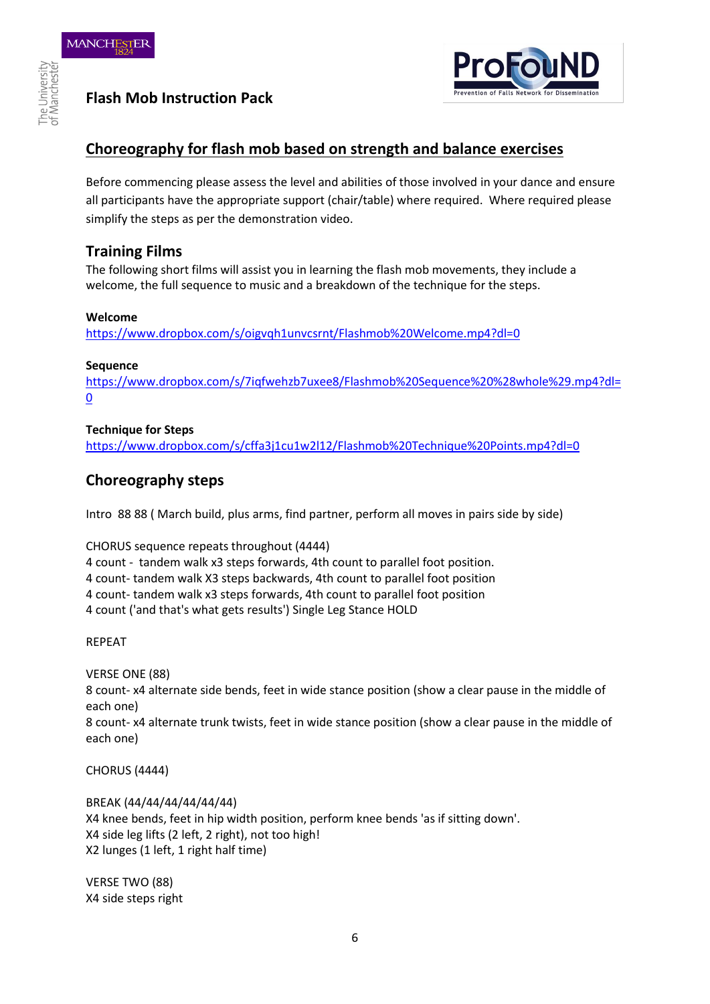# **Flash Mob Instruction Pack**



### **Choreography for flash mob based on strength and balance exercises**

Before commencing please assess the level and abilities of those involved in your dance and ensure all participants have the appropriate support (chair/table) where required. Where required please simplify the steps as per the demonstration video.

#### **Training Films**

The following short films will assist you in learning the flash mob movements, they include a welcome, the full sequence to music and a breakdown of the technique for the steps.

#### **Welcome**

<https://www.dropbox.com/s/oigvqh1unvcsrnt/Flashmob%20Welcome.mp4?dl=0>

#### **Sequence**

[https://www.dropbox.com/s/7iqfwehzb7uxee8/Flashmob%20Sequence%20%28whole%29.mp4?dl=](https://www.dropbox.com/s/7iqfwehzb7uxee8/Flashmob%20Sequence%20%28whole%29.mp4?dl=0)  $\overline{0}$  $\overline{0}$  $\overline{0}$ 

#### **Technique for Steps**

<https://www.dropbox.com/s/cffa3j1cu1w2l12/Flashmob%20Technique%20Points.mp4?dl=0>

#### **Choreography steps**

Intro 88 88 ( March build, plus arms, find partner, perform all moves in pairs side by side)

CHORUS sequence repeats throughout (4444)

4 count - tandem walk x3 steps forwards, 4th count to parallel foot position.

4 count- tandem walk X3 steps backwards, 4th count to parallel foot position

4 count- tandem walk x3 steps forwards, 4th count to parallel foot position

4 count ('and that's what gets results') Single Leg Stance HOLD

REPEAT

VERSE ONE (88)

8 count- x4 alternate side bends, feet in wide stance position (show a clear pause in the middle of each one)

8 count- x4 alternate trunk twists, feet in wide stance position (show a clear pause in the middle of each one)

CHORUS (4444)

BREAK (44/44/44/44/44/44) X4 knee bends, feet in hip width position, perform knee bends 'as if sitting down'. X4 side leg lifts (2 left, 2 right), not too high! X2 lunges (1 left, 1 right half time)

VERSE TWO (88) X4 side steps right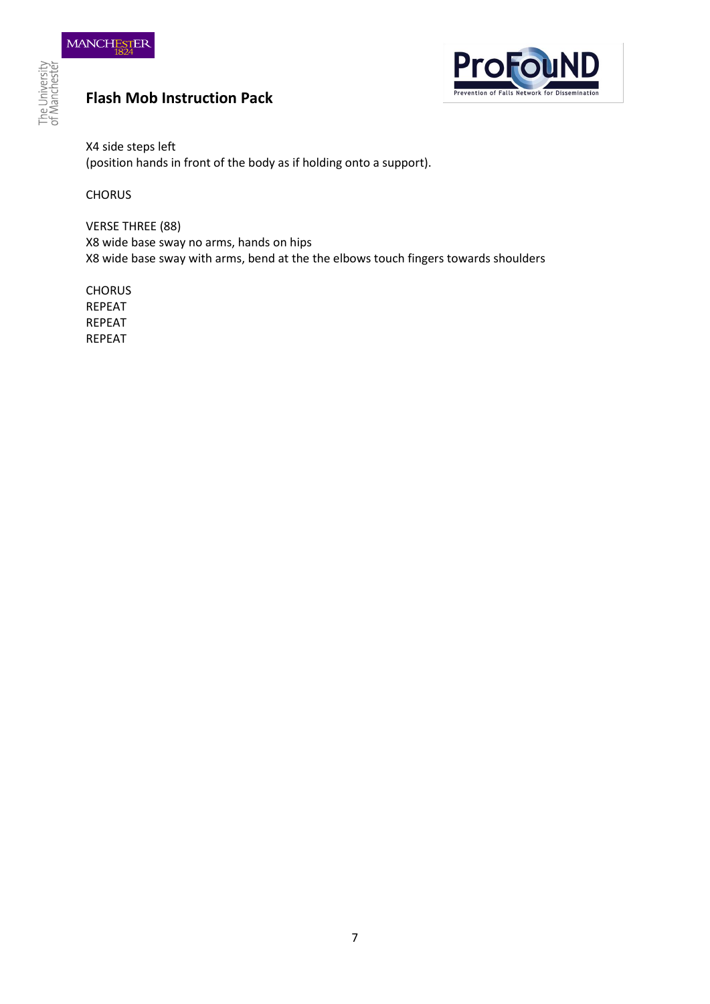# **Flash Mob Instruction Pack**



X4 side steps left (position hands in front of the body as if holding onto a support).

**CHORUS** 

VERSE THREE (88) X8 wide base sway no arms, hands on hips X8 wide base sway with arms, bend at the the elbows touch fingers towards shoulders

**CHORUS** REPEAT REPEAT REPEAT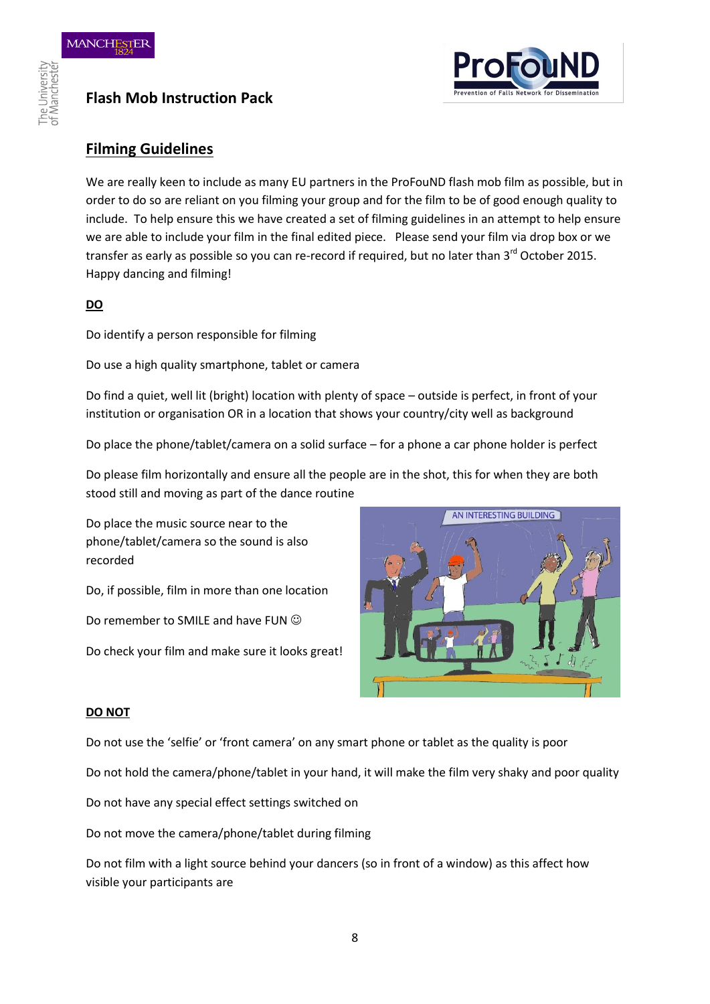



### **Filming Guidelines**

We are really keen to include as many EU partners in the ProFouND flash mob film as possible, but in order to do so are reliant on you filming your group and for the film to be of good enough quality to include. To help ensure this we have created a set of filming guidelines in an attempt to help ensure we are able to include your film in the final edited piece. Please send your film via drop box or we transfer as early as possible so you can re-record if required, but no later than 3<sup>rd</sup> October 2015. Happy dancing and filming!

#### **DO**

Do identify a person responsible for filming

Do use a high quality smartphone, tablet or camera

Do find a quiet, well lit (bright) location with plenty of space – outside is perfect, in front of your institution or organisation OR in a location that shows your country/city well as background

Do place the phone/tablet/camera on a solid surface – for a phone a car phone holder is perfect

Do please film horizontally and ensure all the people are in the shot, this for when they are both stood still and moving as part of the dance routine

Do place the music source near to the phone/tablet/camera so the sound is also recorded

Do, if possible, film in more than one location

Do remember to SMILE and have FUN  $\odot$ 

Do check your film and make sure it looks great!



#### **DO NOT**

Do not use the 'selfie' or 'front camera' on any smart phone or tablet as the quality is poor

Do not hold the camera/phone/tablet in your hand, it will make the film very shaky and poor quality

Do not have any special effect settings switched on

Do not move the camera/phone/tablet during filming

Do not film with a light source behind your dancers (so in front of a window) as this affect how visible your participants are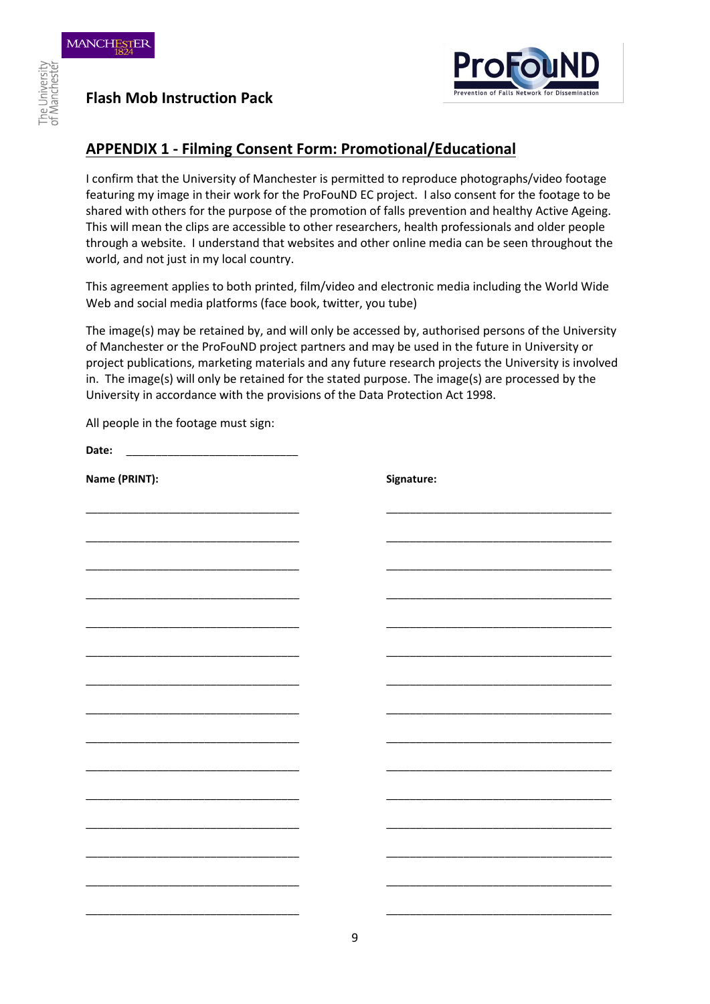

**Flash Mob Instruction Pack** 

### **APPENDIX 1 - Filming Consent Form: Promotional/Educational**

I confirm that the University of Manchester is permitted to reproduce photographs/video footage featuring my image in their work for the ProFouND EC project. I also consent for the footage to be shared with others for the purpose of the promotion of falls prevention and healthy Active Ageing. This will mean the clips are accessible to other researchers, health professionals and older people through a website. I understand that websites and other online media can be seen throughout the world, and not just in my local country.

This agreement applies to both printed, film/video and electronic media including the World Wide Web and social media platforms (face book, twitter, you tube)

The image(s) may be retained by, and will only be accessed by, authorised persons of the University of Manchester or the ProFouND project partners and may be used in the future in University or project publications, marketing materials and any future research projects the University is involved in. The image(s) will only be retained for the stated purpose. The image(s) are processed by the University in accordance with the provisions of the Data Protection Act 1998.

All people in the footage must sign:

Date:

| Name (PRINT): |  | Signature: |
|---------------|--|------------|
|               |  |            |
|               |  |            |
|               |  |            |
|               |  |            |
|               |  |            |
|               |  |            |
|               |  |            |
|               |  |            |
|               |  |            |
|               |  |            |
|               |  |            |
|               |  |            |
|               |  |            |
|               |  |            |